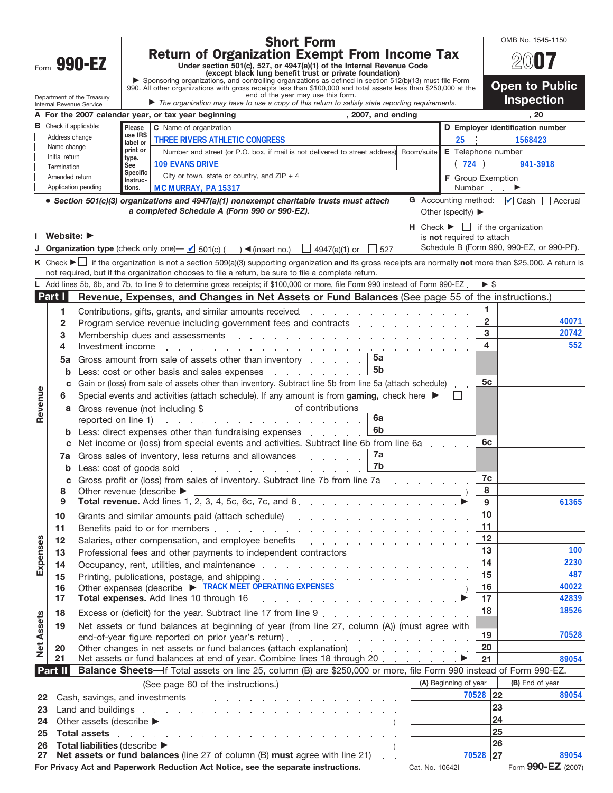| <b>Short Form</b><br><b>Return of Organization Exempt From Income Tax</b>                                                                                                                                                                                                                                                 |                             | OMB No. 1545-1150                         |  |  |  |
|---------------------------------------------------------------------------------------------------------------------------------------------------------------------------------------------------------------------------------------------------------------------------------------------------------------------------|-----------------------------|-------------------------------------------|--|--|--|
| Form 990-EZ<br>Under section 501(c), 527, or 4947(a)(1) of the Internal Revenue Code<br>(except black lung benefit trust or private foundation)                                                                                                                                                                           |                             |                                           |  |  |  |
| Sponsoring organizations, and controlling organizations as defined in section 512(b)(13) must file Form<br>990. All other organizations with gross receipts less than \$100,000 and total assets less than \$250,000 at the                                                                                               |                             | <b>Open to Public</b>                     |  |  |  |
| end of the year may use this form.<br>Department of the Treasury<br>The organization may have to use a copy of this return to satisfy state reporting requirements.<br>Internal Revenue Service                                                                                                                           |                             | <b>Inspection</b>                         |  |  |  |
| , 2007, and ending<br>A For the 2007 calendar year, or tax year beginning                                                                                                                                                                                                                                                 |                             | , 20                                      |  |  |  |
| <b>B</b> Check if applicable:<br>Please<br>C Name of organization<br>use IRS                                                                                                                                                                                                                                              |                             | D Employer identification number          |  |  |  |
| Address change<br><b>THREE RIVERS ATHLETIC CONGRESS</b><br>25<br>label or<br>Name change                                                                                                                                                                                                                                  |                             | 1568423                                   |  |  |  |
| print or<br>Number and street (or P.O. box, if mail is not delivered to street address)<br>Room/suite<br>Initial return<br>type.<br><b>109 EVANS DRIVE</b>                                                                                                                                                                | E Telephone number          |                                           |  |  |  |
| See<br>Termination<br>Specific<br>City or town, state or country, and $ZIP + 4$                                                                                                                                                                                                                                           | (724)                       | 941-3918                                  |  |  |  |
| Amended return<br>Instruc-<br>Application pending<br>MC MURRAY, PA 15317<br>tions.                                                                                                                                                                                                                                        | F Group Exemption<br>Number | ▶                                         |  |  |  |
| • Section 501(c)(3) organizations and 4947(a)(1) nonexempt charitable trusts must attach                                                                                                                                                                                                                                  |                             | G Accounting method: Cash Accrual         |  |  |  |
| a completed Schedule A (Form 990 or 990-EZ).<br>Other (specify) $\blacktriangleright$                                                                                                                                                                                                                                     |                             |                                           |  |  |  |
| $H$ Check $\blacktriangleright$ $\Box$ if the organization                                                                                                                                                                                                                                                                |                             |                                           |  |  |  |
| Website: $\blacktriangleright$<br>is not required to attach<br>Organization type (check only one) $\Box$ 501(c) ( ) < (insert no.) $\Box$ 4947(a)(1) or<br>527                                                                                                                                                            |                             | Schedule B (Form 990, 990-EZ, or 990-PF). |  |  |  |
| K Check ► if the organization is not a section 509(a)(3) supporting organization and its gross receipts are normally not more than \$25,000. A return is                                                                                                                                                                  |                             |                                           |  |  |  |
| not required, but if the organization chooses to file a return, be sure to file a complete return.                                                                                                                                                                                                                        |                             |                                           |  |  |  |
| L Add lines 5b, 6b, and 7b, to line 9 to determine gross receipts; if \$100,000 or more, file Form 990 instead of Form 990-EZ.                                                                                                                                                                                            | $\triangleright$ \$         |                                           |  |  |  |
| Part I<br>Revenue, Expenses, and Changes in Net Assets or Fund Balances (See page 55 of the instructions.)                                                                                                                                                                                                                |                             |                                           |  |  |  |
| 1<br>Contributions, gifts, grants, and similar amounts received. The contributions of the contributions, gifts, grants, and similar amounts received.                                                                                                                                                                     | 1                           |                                           |  |  |  |
| $\overline{2}$<br>Program service revenue including government fees and contracts enterstanding the service of the Program service in the Program service in the Program service in the Program service in the Program service in the Program se                                                                          | $\overline{2}$              | 40071                                     |  |  |  |
| 3<br>Membership dues and assessments and according to the contract of the contract of the contract of the contract of the contract of the contract of the contract of the contract of the contract of the contract of the contract                                                                                        | 3<br>4                      | 20742<br>552                              |  |  |  |
| 4<br>Investment income entries and a series and a series and a series and a series are a series and a series of the<br>5а                                                                                                                                                                                                 |                             |                                           |  |  |  |
| Gross amount from sale of assets other than inventory entitled as a set of assets other than inventory and all<br>5a<br><b>5b</b><br>Less: cost or other basis and sales expenses<br>b                                                                                                                                    |                             |                                           |  |  |  |
| Gain or (loss) from sale of assets other than inventory. Subtract line 5b from line 5a (attach schedule).<br>c                                                                                                                                                                                                            | 5 <sub>c</sub>              |                                           |  |  |  |
| Revenue<br>Special events and activities (attach schedule). If any amount is from gaming, check here $\blacktriangleright$<br>6<br>$\mathbf{L}$                                                                                                                                                                           |                             |                                           |  |  |  |
| Gross revenue (not including \$ __________________________ of contributions<br>a                                                                                                                                                                                                                                          |                             |                                           |  |  |  |
| 6a<br>reported on line 1)<br>the contract of the contract of the contract of the contract of                                                                                                                                                                                                                              |                             |                                           |  |  |  |
| 6 <sub>b</sub><br>Less: direct expenses other than fundraising expenses exactled as a set of the set of the Lessian and Lessian                                                                                                                                                                                           |                             |                                           |  |  |  |
| Net income or (loss) from special events and activities. Subtract line 6b from line 6a<br>c<br>7a                                                                                                                                                                                                                         | 6c                          |                                           |  |  |  |
| Gross sales of inventory, less returns and allowances<br>7a<br>7b                                                                                                                                                                                                                                                         |                             |                                           |  |  |  |
| <b>b</b> Less: cost of goods sold entitled and the set of the solution of the set of the set of the set of the set of the set of the set of the set of the set of the set of the set of the set of the set of the set of the set of<br>Gross profit or (loss) from sales of inventory. Subtract line 7b from line 7a<br>С | 7c                          |                                           |  |  |  |
| Other revenue (describe ▶<br>8                                                                                                                                                                                                                                                                                            | 8                           |                                           |  |  |  |
| 9                                                                                                                                                                                                                                                                                                                         | 9                           | 61365                                     |  |  |  |
| 10                                                                                                                                                                                                                                                                                                                        | 10                          |                                           |  |  |  |
| 11                                                                                                                                                                                                                                                                                                                        | 11                          |                                           |  |  |  |
| Expenses<br>Salaries, other compensation, and employee benefits entity and the state of the state of the state of the state of the state of the state of the state of the state of the state of the state of the state of the state of the<br>12                                                                          | $12 \,$                     |                                           |  |  |  |
| Professional fees and other payments to independent contractors entering the state of the state of the Professional fees and other payments to independent contractors<br>13                                                                                                                                              | 13<br>14                    | 100<br>2230                               |  |  |  |
| Occupancy, rent, utilities, and maintenance response to the contract of the contract of the contract of the contract of the contract of the contract of the contract of the contract of the contract of the contract of the co<br>14                                                                                      | 15                          | 487                                       |  |  |  |
| 15<br>Other expenses (describe > TRACK MEET OPERATING EXPENSES<br>16                                                                                                                                                                                                                                                      | 16                          | 40022                                     |  |  |  |
| 17<br>Total expenses. Add lines 10 through 16 (expense of the set of the set of the set of the set of the set of the set of the set of the set of the set of the set of the set of the set of the set of the set of the set of the                                                                                        | 17                          | 42839                                     |  |  |  |
| 18<br>Excess or (deficit) for the year. Subtract line 17 from line 9 entitled as a control of the year.                                                                                                                                                                                                                   | 18                          | 18526                                     |  |  |  |
| Assets<br>Net assets or fund balances at beginning of year (from line 27, column (A)) (must agree with<br>19                                                                                                                                                                                                              |                             |                                           |  |  |  |
| end-of-year figure reported on prior year's return).                                                                                                                                                                                                                                                                      | 19                          | 70528                                     |  |  |  |
| Net<br>Other changes in net assets or fund balances (attach explanation)<br>20                                                                                                                                                                                                                                            | 20                          | 89054                                     |  |  |  |
| Net assets or fund balances at end of year. Combine lines 18 through 20<br>21<br>21<br>Balance Sheets-If Total assets on line 25, column (B) are \$250,000 or more, file Form 990 instead of Form 990-EZ.<br><b>Part II</b>                                                                                               |                             |                                           |  |  |  |
| (A) Beginning of year<br>(See page 60 of the instructions.)                                                                                                                                                                                                                                                               |                             | (B) End of year                           |  |  |  |
| 22                                                                                                                                                                                                                                                                                                                        | 70528 22                    | 89054                                     |  |  |  |
| Land and buildings research and a series and a series and a series and a series and a series of the series of<br>23                                                                                                                                                                                                       | 23                          |                                           |  |  |  |
| 24                                                                                                                                                                                                                                                                                                                        | 24                          |                                           |  |  |  |
| <b>Total assets</b><br>25<br>the contract of the contract of the contract of the contract of the contract of the contract of the<br>$\sim$                                                                                                                                                                                | 25                          |                                           |  |  |  |
| 26<br>$\overline{\phantom{a}}$ )                                                                                                                                                                                                                                                                                          | 26                          |                                           |  |  |  |
| Net assets or fund balances (line 27 of column (B) must agree with line 21)<br>27<br>For Privacy Act and Paperwork Reduction Act Notice, see the separate instructions.<br>Cat. No. 10642I                                                                                                                                | 70528 27                    | 89054<br>Form 990-EZ (2007)               |  |  |  |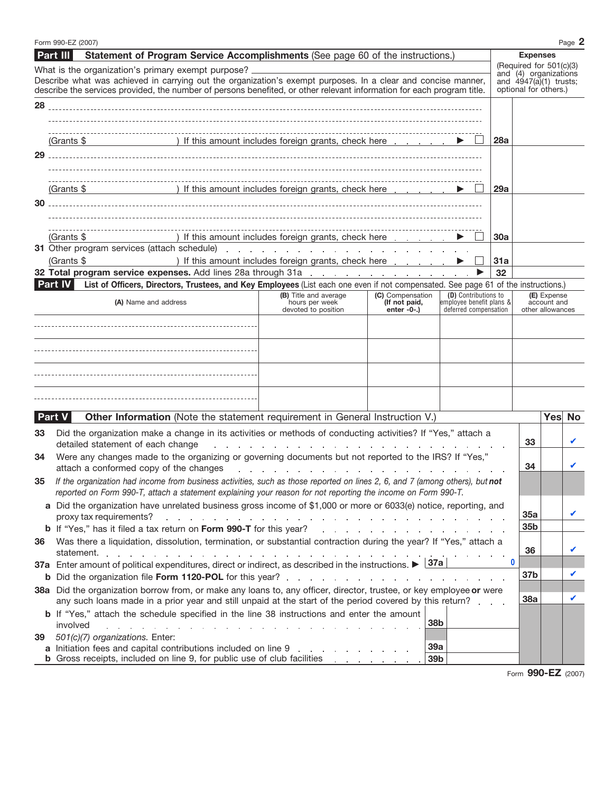|                                                    | Form 990-EZ (2007)                                                                                                                                                                                                                                                                                  |                                                                                                                                                                                                                                |                                   |                                                  |                                                  |                                                                               |                  | Page 2 |  |
|----------------------------------------------------|-----------------------------------------------------------------------------------------------------------------------------------------------------------------------------------------------------------------------------------------------------------------------------------------------------|--------------------------------------------------------------------------------------------------------------------------------------------------------------------------------------------------------------------------------|-----------------------------------|--------------------------------------------------|--------------------------------------------------|-------------------------------------------------------------------------------|------------------|--------|--|
|                                                    | <b>Part III</b><br>Statement of Program Service Accomplishments (See page 60 of the instructions.)                                                                                                                                                                                                  |                                                                                                                                                                                                                                |                                   |                                                  |                                                  | <b>Expenses</b>                                                               |                  |        |  |
| What is the organization's primary exempt purpose? |                                                                                                                                                                                                                                                                                                     |                                                                                                                                                                                                                                |                                   |                                                  | (Required for 501(c)(3)<br>and (4) organizations |                                                                               |                  |        |  |
|                                                    | Describe what was achieved in carrying out the organization's exempt purposes. In a clear and concise manner,<br>describe the services provided, the number of persons benefited, or other relevant information for each program title.                                                             |                                                                                                                                                                                                                                |                                   |                                                  |                                                  | and $\hat{4}\frac{9}{4}\frac{7}{\hat{a}}(1)$ trusts;<br>optional for others.) |                  |        |  |
|                                                    |                                                                                                                                                                                                                                                                                                     |                                                                                                                                                                                                                                |                                   |                                                  |                                                  |                                                                               |                  |        |  |
|                                                    |                                                                                                                                                                                                                                                                                                     |                                                                                                                                                                                                                                |                                   |                                                  |                                                  |                                                                               |                  |        |  |
|                                                    |                                                                                                                                                                                                                                                                                                     |                                                                                                                                                                                                                                |                                   |                                                  |                                                  |                                                                               |                  |        |  |
|                                                    | (Grants \$ ) If this amount includes foreign grants, check here $\Box$                                                                                                                                                                                                                              |                                                                                                                                                                                                                                |                                   |                                                  | 28a                                              |                                                                               |                  |        |  |
|                                                    |                                                                                                                                                                                                                                                                                                     |                                                                                                                                                                                                                                |                                   |                                                  |                                                  |                                                                               |                  |        |  |
|                                                    |                                                                                                                                                                                                                                                                                                     |                                                                                                                                                                                                                                |                                   |                                                  |                                                  |                                                                               |                  |        |  |
|                                                    |                                                                                                                                                                                                                                                                                                     |                                                                                                                                                                                                                                |                                   |                                                  |                                                  |                                                                               |                  |        |  |
|                                                    | (Grants \$ ) If this amount includes foreign grants, check here $\Box$                                                                                                                                                                                                                              |                                                                                                                                                                                                                                |                                   |                                                  | 29a                                              |                                                                               |                  |        |  |
|                                                    |                                                                                                                                                                                                                                                                                                     |                                                                                                                                                                                                                                |                                   |                                                  |                                                  |                                                                               |                  |        |  |
|                                                    |                                                                                                                                                                                                                                                                                                     |                                                                                                                                                                                                                                |                                   |                                                  |                                                  |                                                                               |                  |        |  |
|                                                    |                                                                                                                                                                                                                                                                                                     |                                                                                                                                                                                                                                |                                   |                                                  |                                                  |                                                                               |                  |        |  |
|                                                    | ) If this amount includes foreign grants, check here<br>(Grants \$<br>31 Other program services (attach schedule) expansion and a series and a series of the schedule of the series of the series of the series of the series of the series of the series of the series of the series of the series |                                                                                                                                                                                                                                |                                   |                                                  | 30a                                              |                                                                               |                  |        |  |
|                                                    | (Grants \$                                                                                                                                                                                                                                                                                          | ) If this amount includes foreign grants, check here                                                                                                                                                                           |                                   |                                                  | 31a                                              |                                                                               |                  |        |  |
|                                                    |                                                                                                                                                                                                                                                                                                     |                                                                                                                                                                                                                                |                                   | ▶                                                | 32                                               |                                                                               |                  |        |  |
|                                                    | List of Officers, Directors, Trustees, and Key Employees (List each one even if not compensated. See page 61 of the instructions.)<br>Part IV                                                                                                                                                       |                                                                                                                                                                                                                                |                                   |                                                  |                                                  |                                                                               |                  |        |  |
|                                                    | (A) Name and address                                                                                                                                                                                                                                                                                | (B) Title and average<br>hours per week                                                                                                                                                                                        | (C) Compensation<br>(If not paid, | (D) Contributions to<br>employee benefit plans & | (E) Expense<br>account and                       |                                                                               |                  |        |  |
|                                                    |                                                                                                                                                                                                                                                                                                     | devoted to position                                                                                                                                                                                                            | $enter -0-$ .)                    | deferred compensation                            |                                                  |                                                                               | other allowances |        |  |
|                                                    |                                                                                                                                                                                                                                                                                                     |                                                                                                                                                                                                                                |                                   |                                                  |                                                  |                                                                               |                  |        |  |
|                                                    |                                                                                                                                                                                                                                                                                                     |                                                                                                                                                                                                                                |                                   |                                                  |                                                  |                                                                               |                  |        |  |
|                                                    |                                                                                                                                                                                                                                                                                                     |                                                                                                                                                                                                                                |                                   |                                                  |                                                  |                                                                               |                  |        |  |
|                                                    |                                                                                                                                                                                                                                                                                                     |                                                                                                                                                                                                                                |                                   |                                                  |                                                  |                                                                               |                  |        |  |
|                                                    |                                                                                                                                                                                                                                                                                                     |                                                                                                                                                                                                                                |                                   |                                                  |                                                  |                                                                               |                  |        |  |
|                                                    |                                                                                                                                                                                                                                                                                                     |                                                                                                                                                                                                                                |                                   |                                                  |                                                  |                                                                               |                  |        |  |
|                                                    |                                                                                                                                                                                                                                                                                                     |                                                                                                                                                                                                                                |                                   |                                                  |                                                  |                                                                               |                  |        |  |
|                                                    | Other Information (Note the statement requirement in General Instruction V.)<br><b>Part V</b>                                                                                                                                                                                                       |                                                                                                                                                                                                                                |                                   |                                                  |                                                  |                                                                               |                  | Yes No |  |
| 33                                                 | Did the organization make a change in its activities or methods of conducting activities? If "Yes," attach a                                                                                                                                                                                        |                                                                                                                                                                                                                                |                                   |                                                  |                                                  |                                                                               |                  |        |  |
|                                                    | 33<br>detailed statement of each change<br>المتعاون والمتعاون والمتعاون والمتعاون والمتعاون والمتعاون والمتعاون والمتعاون والمتعاون والمتعاون                                                                                                                                                       |                                                                                                                                                                                                                                |                                   |                                                  |                                                  |                                                                               |                  |        |  |
| 34                                                 | Were any changes made to the organizing or governing documents but not reported to the IRS? If "Yes,"                                                                                                                                                                                               |                                                                                                                                                                                                                                |                                   |                                                  |                                                  |                                                                               |                  |        |  |
|                                                    | 34<br>attach a conformed copy of the changes<br>and a series of the contract of the contract of the contract of the contract of                                                                                                                                                                     |                                                                                                                                                                                                                                |                                   |                                                  |                                                  |                                                                               |                  |        |  |
| 35                                                 | If the organization had income from business activities, such as those reported on lines 2, 6, and 7 (among others), but not                                                                                                                                                                        |                                                                                                                                                                                                                                |                                   |                                                  |                                                  |                                                                               |                  |        |  |
|                                                    | reported on Form 990-T, attach a statement explaining your reason for not reporting the income on Form 990-T.<br>a Did the organization have unrelated business gross income of \$1,000 or more or 6033(e) notice, reporting, and                                                                   |                                                                                                                                                                                                                                |                                   |                                                  |                                                  |                                                                               |                  |        |  |
|                                                    | proxy tax requirements?                                                                                                                                                                                                                                                                             |                                                                                                                                                                                                                                |                                   |                                                  |                                                  | 35a                                                                           |                  |        |  |
|                                                    |                                                                                                                                                                                                                                                                                                     | والمتابع المتابع المالية المتابع المتابع المتابع المتابع المتابع المتابع المتابع المتابع المتابع المتابع المتابع                                                                                                               |                                   |                                                  |                                                  | 35b                                                                           |                  |        |  |
| 36                                                 | Was there a liquidation, dissolution, termination, or substantial contraction during the year? If "Yes," attach a                                                                                                                                                                                   |                                                                                                                                                                                                                                |                                   |                                                  |                                                  |                                                                               |                  |        |  |
|                                                    |                                                                                                                                                                                                                                                                                                     |                                                                                                                                                                                                                                |                                   |                                                  |                                                  | 36                                                                            |                  |        |  |
|                                                    | 37a Enter amount of political expenditures, direct or indirect, as described in the instructions. $\blacktriangleright$ 37a                                                                                                                                                                         |                                                                                                                                                                                                                                |                                   |                                                  | $\bf{0}$                                         |                                                                               |                  |        |  |
|                                                    |                                                                                                                                                                                                                                                                                                     |                                                                                                                                                                                                                                |                                   |                                                  |                                                  | 37 <sub>b</sub>                                                               |                  | V      |  |
|                                                    | 38a Did the organization borrow from, or make any loans to, any officer, director, trustee, or key employee or were                                                                                                                                                                                 |                                                                                                                                                                                                                                |                                   |                                                  |                                                  |                                                                               |                  |        |  |
|                                                    | any such loans made in a prior year and still unpaid at the start of the period covered by this return?                                                                                                                                                                                             |                                                                                                                                                                                                                                |                                   |                                                  |                                                  | 38a                                                                           |                  | ✔      |  |
|                                                    | b If "Yes," attach the schedule specified in the line 38 instructions and enter the amount                                                                                                                                                                                                          |                                                                                                                                                                                                                                | 38b                               |                                                  |                                                  |                                                                               |                  |        |  |
|                                                    | involved<br>the contract of the contract of the contract of the contract of the contract of the contract of                                                                                                                                                                                         |                                                                                                                                                                                                                                |                                   |                                                  |                                                  |                                                                               |                  |        |  |
| 39                                                 | 501(c)(7) organizations. Enter:<br>a Initiation fees and capital contributions included on line 9                                                                                                                                                                                                   | and a strong control of the state of the state of the state of the state of the state of the state of the state of the state of the state of the state of the state of the state of the state of the state of the state of the | 39a                               |                                                  |                                                  |                                                                               |                  |        |  |
|                                                    |                                                                                                                                                                                                                                                                                                     |                                                                                                                                                                                                                                | 39 <sub>b</sub>                   |                                                  |                                                  |                                                                               |                  |        |  |

Form **990-EZ** (2007)